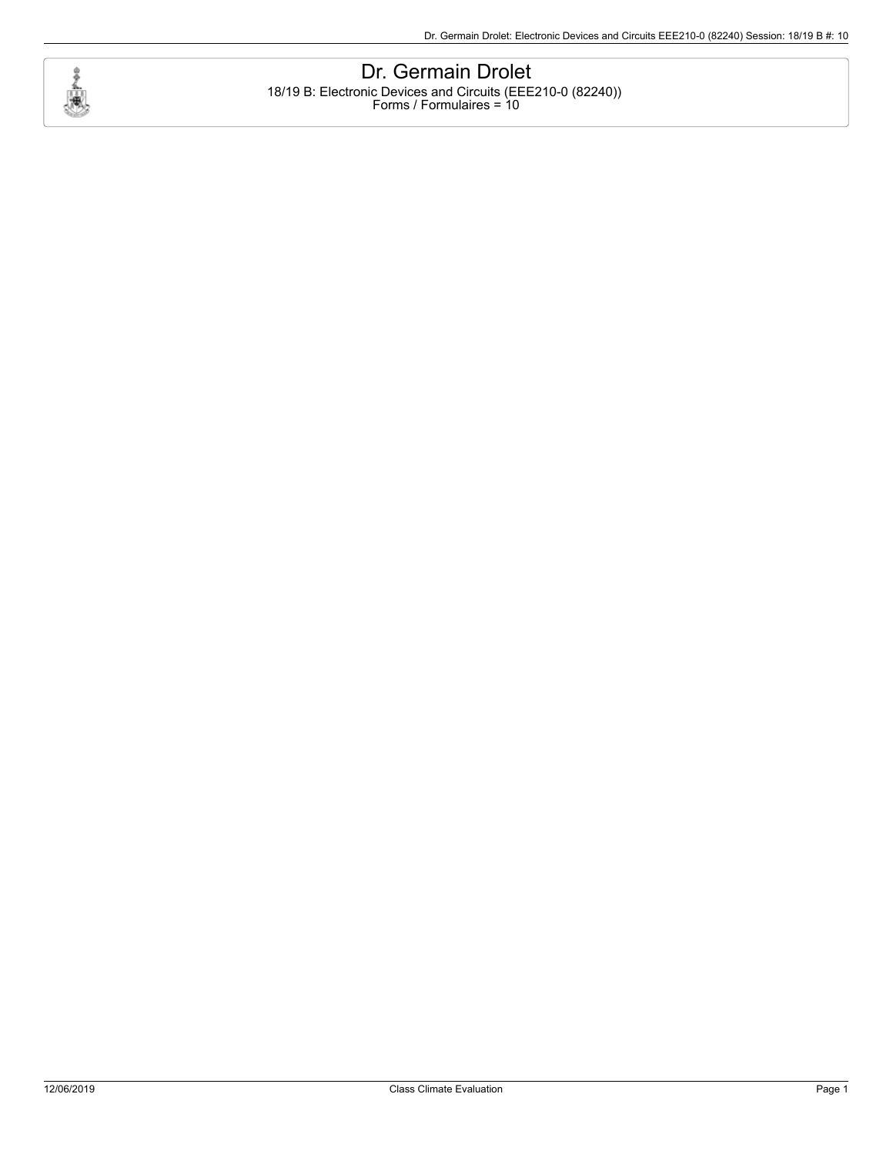

Dr. Germain Drolet 18/19 B: Electronic Devices and Circuits (EEE210-0 (82240)) Forms / Formulaires = 10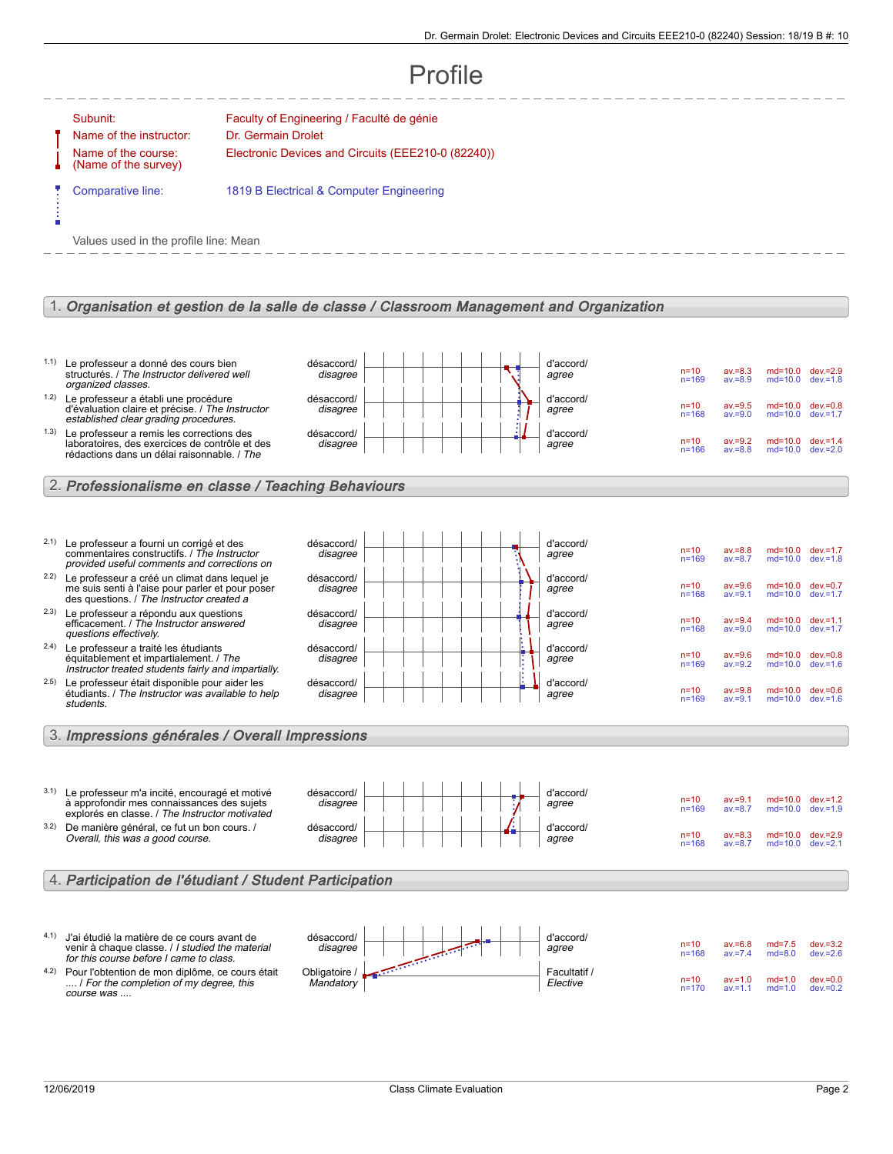#### **Profile** Subunit: Faculty of Engineering / Faculté de génie Name of the instructor: Dr. Germain Drolet Name of the course: (Name of the survey) Electronic Devices and Circuits (EEE210-0 (82240)) Comparative line: 1819 B Electrical & Computer Engineering Values used in the profile line: Mean 1. Organisation et gestion de la salle de classe / Classroom Management and Organization 1.1) Le professeur a donné des cours bien structurés. / The Instructor delivered well organized classes. désaccord/ disagree d'accord/ agree n=10 av.=8.3 md=10.0 dev.=2.9 n=169 av.=8.9 md=10.0 dev.=1.8 1.2) Le professeur a établi une procédure d'évaluation claire et précise. / The Instructor established clear grading procedures. désaccord/ disagree d'accord/ agree n=10 av.=9.5 md=10.0 dev.=0.8<br>n=168 av.=9.0 md=10.0 dev.=1.7  $md=10.0$ 1.3) Le professeur a remis les corrections des laboratoires, des exercices de contrôle et des<br>rédactions dans un délai raisonnable. / *The* désaccord/ disagree d'accord/ agree n=10 av.=9.2 md=10.0 dev.=1.4 n=166 av.=8.8 md=10.0 dev.=2.0 2. Professionalisme en classe / Teaching Behaviours 2.1) Le professeur a fourni un corrigé et des commentaires constructifs. / The Instructor provided useful comments and corrections on désaccord/ disagree d'accord/ agree n=10 av.=8.8 md=10.0 dev.=1.7 n=169 av.=8.7 md=10.0 dev.=1.8 2.2) Le professeur a créé un climat dans lequel je me suis senti à l'aise pour parler et pour poser des questions. / The Instructor created a désaccord/ disagree d'accord/ agree n=10 av.=9.6 md=10.0 dev.=0.7 n=168 av.=9.1 md=10.0 dev.=1.7 2.3) Le professeur a répondu aux questions efficacement. / The Instructor answered questions effectively. désaccord/ disagree d'accord/ agree n=10 av.=9.4 md=10.0 dev.=1.1 n=168 av.=9.0 md=10.0 dev.=1.7 2.4) Le professeur a traité les étudiants équitablement et impartialement. / The Instructor treated students fairly and impartially. désaccord/ disagree d'accord/ agree n=10 av.=9.6 md=10.0 dev.=0.8 n=169 av.=9.2 md=10.0 dev.=1.6 <sup>2.5)</sup> Le professeur était disponible pour aider les<br>étudiants. / The Instructor was available to help students. désaccord/ disagree d'accord/ agree n=10 av.=9.8 md=10.0 dev.=0.6 n=169 av.=9.1 md=10.0 dev.=1.6 3. Impressions générales / Overall Impressions 3.1) Le professeur m'a incité, encouragé et motivé à approfondir mes connaissances des sujets explorés en classe. / The Instructor motivated désaccord/ disagree d'accord/ agree n=10 av.=9.1 md=10.0 dev.=1.2 n=169 av.=8.7 md=10.0 dev.=1.9 3.2) De manière général, ce fut un bon cours. / Overall, this was a good course. désaccord/ disagree d'accord/ agree n=10 av.=8.3 md=10.0 dev.=2.9<br>n=168 av.=8.7 md=10.0 dev.=2.1  $md=10.0$ 4. Participation de l'étudiant / Student Participation 4.1) J'ai étudié la matière de ce cours avant de venir à chaque classe. / I studied the material for this course before I came to class. désaccord/ disagree d'accord/ agree n=10 av.=6.8 md=7.5 dev.=3.2<br>n=168 av.=7.4 md=8.0 dev.=2.6  $dev = 2.6$ 4.2) Pour l'obtention de mon diplôme, ce cours était . I For the completion of my degree, this course was .... Obligatoire / **Mandatory** Facultatif / Elective n=10 av.=1.0 md=1.0 dev.=0.0<br>n=170 av.=1.1 md=1.0 dev.=0.2  $dev.=0.2$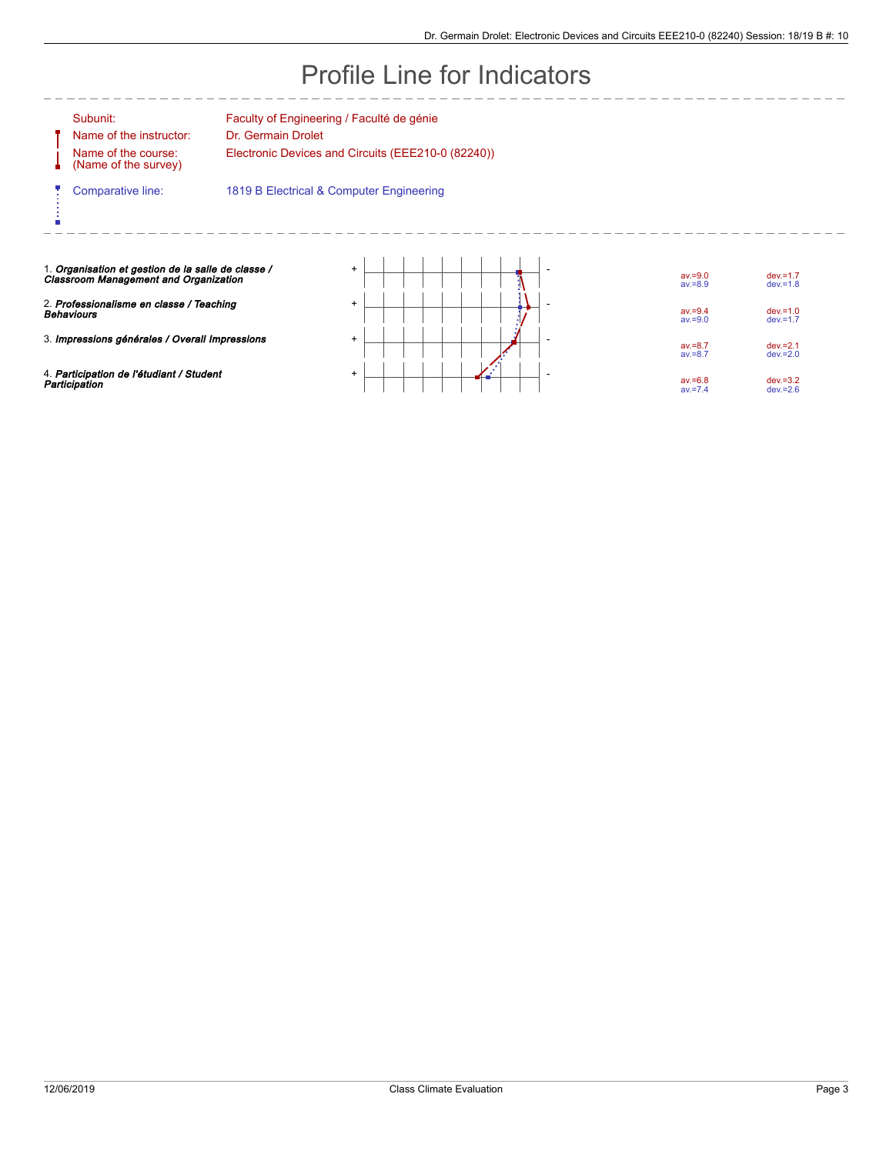# Profile Line for Indicators

Ų

é

Name of the instructor: Dr. Germain Drolet Name of the course: (Name of the survey)

Subunit: Faculty of Engineering / Faculté de génie

Electronic Devices and Circuits (EEE210-0 (82240))

 $-$ 

Comparative line: 1819 B Electrical & Computer Engineering

 $\frac{1}{2}$ 

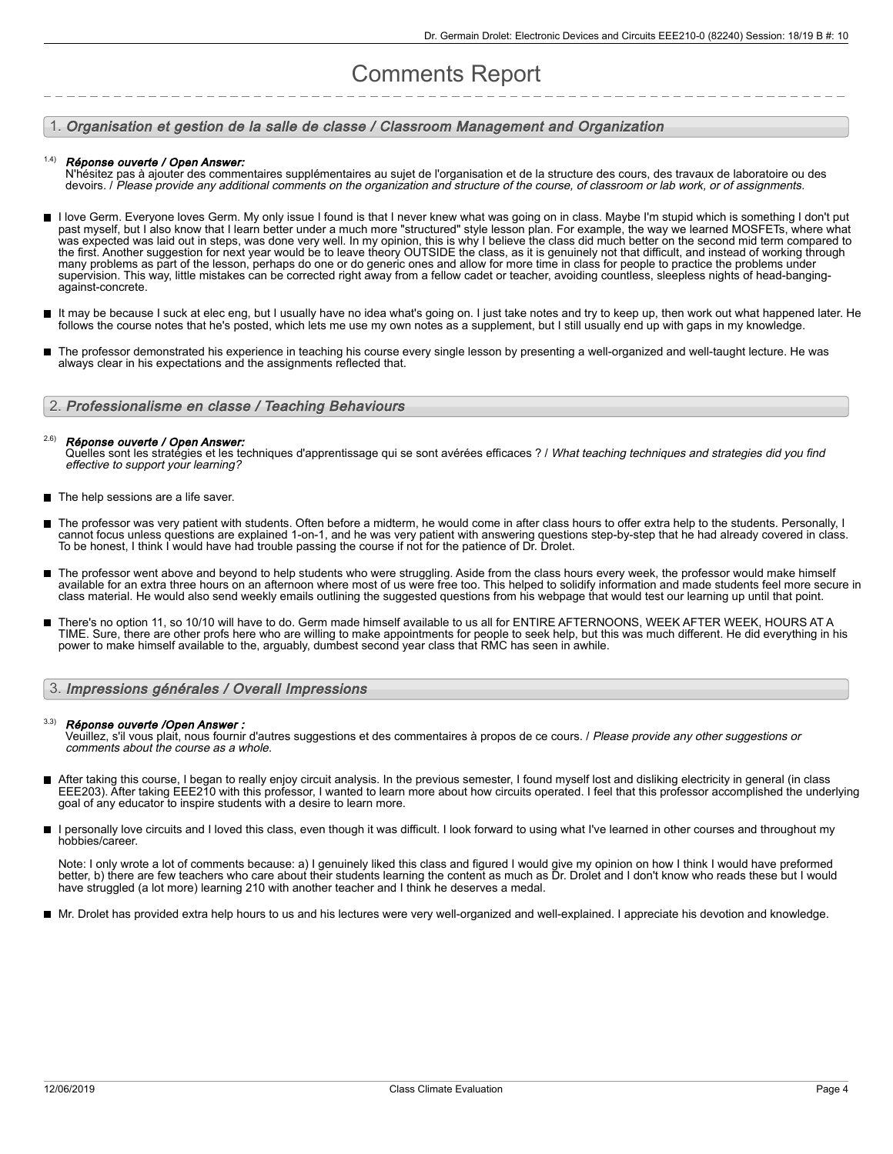# Comments Report

## 1. Organisation et gestion de la salle de classe / Classroom Management and Organization

#### Réponse ouverte / Open Answer: 1.4)

N'hésitez pas à ajouter des commentaires supplémentaires au sujet de l'organisation et de la structure des cours, des travaux de laboratoire ou des devoirs. / Please provide any additional comments on the organization and structure of the course, of classroom or lab work, or of assignments.

- I love Germ. Everyone loves Germ. My only issue I found is that I never knew what was going on in class. Maybe I'm stupid which is something I don't put past myself, but I also know that I learn better under a much more "structured" style lesson plan. For example, the way we learned MOSFETs, where what was expected was laid out in steps, was done very well. In my opinion, this is why I believe the class did much better on the second mid term compared to the first. Another suggestion for next year would be to leave theory OUTSIDE the class, as it is genuinely not that difficult, and instead of working through many problems as part of the lesson, perhaps do one or do generic ones and allow for more time in class for people to practice the problems under supervision. This way, little mistakes can be corrected right away from a fellow cadet or teacher, avoiding countless, sleepless nights of head-bangingagainst-concrete.
- It may be because I suck at elec eng, but I usually have no idea what's going on. I just take notes and try to keep up, then work out what happened later. He follows the course notes that he's posted, which lets me use my own notes as a supplement, but I still usually end up with gaps in my knowledge.
- The professor demonstrated his experience in teaching his course every single lesson by presenting a well-organized and well-taught lecture. He was  $\blacksquare$ always clear in his expectations and the assignments reflected that.

## 2. Professionalisme en classe / Teaching Behaviours

#### Réponse ouverte / Open Answer: 2.6)

Quelles sont les stratégies et les techniques d'apprentissage qui se sont avérées efficaces ? / What teaching techniques and strategies did you find effective to support your learning?

- The help sessions are a life saver.
- The professor was very patient with students. Often before a midterm, he would come in after class hours to offer extra help to the students. Personally, I cannot focus unless questions are explained 1-on-1, and he was very patient with answering questions step-by-step that he had already covered in class. To be honest, I think I would have had trouble passing the course if not for the patience of Dr. Drolet.
- The professor went above and beyond to help students who were struggling. Aside from the class hours every week, the professor would make himself available for an extra three hours on an afternoon where most of us were free too. This helped to solidify information and made students feel more secure in class material. He would also send weekly emails outlining the suggested questions from his webpage that would test our learning up until that point.
- There's no option 11, so 10/10 will have to do. Germ made himself available to us all for ENTIRE AFTERNOONS, WEEK AFTER WEEK, HOURS AT A TIME. Sure, there are other profs here who are willing to make appointments for people to seek help, but this was much different. He did everything in his power to make himself available to the, arguably, dumbest second year class that RMC has seen in awhile.

# 3. Impressions générales / Overall Impressions

### 3.3)

**Réponse ouverte /Open Answer :**<br>Veuillez, s'il vous plait, nous fournir d'autres suggestions et des commentaires à propos de ce cours. *I Please provide any other suggestions or* comments about the course as a whole.

- After taking this course, I began to really enjoy circuit analysis. In the previous semester, I found myself lost and disliking electricity in general (in class EEE203). After taking EEE210 with this professor, I wanted to learn more about how circuits operated. I feel that this professor accomplished the underlying goal of any educator to inspire students with a desire to learn more.
- $\blacksquare$ I personally love circuits and I loved this class, even though it was difficult. I look forward to using what I've learned in other courses and throughout my hobbies/career.

Note: I only wrote a lot of comments because: a) I genuinely liked this class and figured I would give my opinion on how I think I would have preformed better, b) there are few teachers who care about their students learning the content as much as Dr. Drolet and I don't know who reads these but I would have struggled (a lot more) learning 210 with another teacher and I think he deserves a medal.

Mr. Drolet has provided extra help hours to us and his lectures were very well-organized and well-explained. I appreciate his devotion and knowledge.